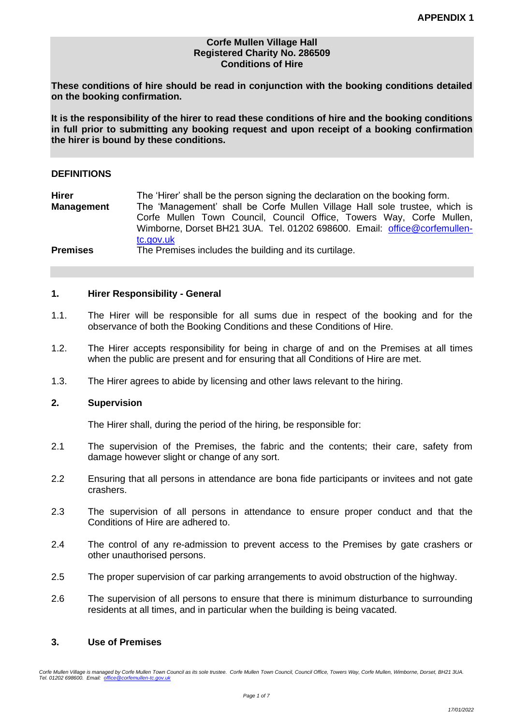### **Corfe Mullen Village Hall Registered Charity No. 286509 Conditions of Hire**

**These conditions of hire should be read in conjunction with the booking conditions detailed on the booking confirmation.**

**It is the responsibility of the hirer to read these conditions of hire and the booking conditions in full prior to submitting any booking request and upon receipt of a booking confirmation the hirer is bound by these conditions.**

### **DEFINITIONS**

**Hirer** The 'Hirer' shall be the person signing the declaration on the booking form. **Management** The 'Management' shall be Corfe Mullen Village Hall sole trustee, which is Corfe Mullen Town Council, Council Office, Towers Way, Corfe Mullen, Wimborne, Dorset BH21 3UA. Tel. 01202 698600. Email: [office@corfemullen](mailto:office@corfemullen-tc.gov.uk)[tc.gov.uk](mailto:office@corfemullen-tc.gov.uk) **Premises** The Premises includes the building and its curtilage.

#### **1. Hirer Responsibility - General**

- 1.1. The Hirer will be responsible for all sums due in respect of the booking and for the observance of both the Booking Conditions and these Conditions of Hire.
- 1.2. The Hirer accepts responsibility for being in charge of and on the Premises at all times when the public are present and for ensuring that all Conditions of Hire are met.
- 1.3. The Hirer agrees to abide by licensing and other laws relevant to the hiring.

### **2. Supervision**

The Hirer shall, during the period of the hiring, be responsible for:

- 2.1 The supervision of the Premises, the fabric and the contents; their care, safety from damage however slight or change of any sort.
- 2.2 Ensuring that all persons in attendance are bona fide participants or invitees and not gate crashers.
- 2.3 The supervision of all persons in attendance to ensure proper conduct and that the Conditions of Hire are adhered to.
- 2.4 The control of any re-admission to prevent access to the Premises by gate crashers or other unauthorised persons.
- 2.5 The proper supervision of car parking arrangements to avoid obstruction of the highway.
- 2.6 The supervision of all persons to ensure that there is minimum disturbance to surrounding residents at all times, and in particular when the building is being vacated.

# **3. Use of Premises**

*Corfe Mullen Village is managed by Corfe Mullen Town Council as its sole trustee. Corfe Mullen Town Council, Council Office, Towers Way, Corfe Mullen, Wimborne, Dorset, BH21 3UA. Tel. 01202 698600. Email: [office@corfemullen-tc.gov.uk](mailto:office@corfemullen-pc.gov.uk)*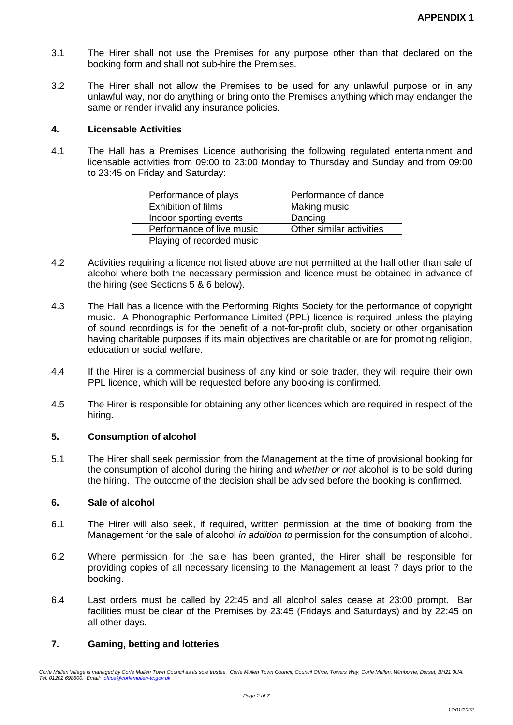- 3.1 The Hirer shall not use the Premises for any purpose other than that declared on the booking form and shall not sub-hire the Premises.
- 3.2 The Hirer shall not allow the Premises to be used for any unlawful purpose or in any unlawful way, nor do anything or bring onto the Premises anything which may endanger the same or render invalid any insurance policies.

### **4. Licensable Activities**

4.1 The Hall has a Premises Licence authorising the following regulated entertainment and licensable activities from 09:00 to 23:00 Monday to Thursday and Sunday and from 09:00 to 23:45 on Friday and Saturday:

| Performance of plays       | Performance of dance     |  |
|----------------------------|--------------------------|--|
| <b>Exhibition of films</b> | Making music             |  |
| Indoor sporting events     | Dancing                  |  |
| Performance of live music  | Other similar activities |  |
| Playing of recorded music  |                          |  |

- 4.2 Activities requiring a licence not listed above are not permitted at the hall other than sale of alcohol where both the necessary permission and licence must be obtained in advance of the hiring (see Sections 5 & 6 below).
- 4.3 The Hall has a licence with the Performing Rights Society for the performance of copyright music. A Phonographic Performance Limited (PPL) licence is required unless the playing of sound recordings is for the benefit of a not-for-profit club, society or other organisation having charitable purposes if its main objectives are charitable or are for promoting religion, education or social welfare.
- 4.4 If the Hirer is a commercial business of any kind or sole trader, they will require their own PPL licence, which will be requested before any booking is confirmed.
- 4.5 The Hirer is responsible for obtaining any other licences which are required in respect of the hiring.

# **5. Consumption of alcohol**

5.1 The Hirer shall seek permission from the Management at the time of provisional booking for the consumption of alcohol during the hiring and *whether or not* alcohol is to be sold during the hiring. The outcome of the decision shall be advised before the booking is confirmed.

## **6. Sale of alcohol**

- 6.1 The Hirer will also seek, if required, written permission at the time of booking from the Management for the sale of alcohol *in addition to* permission for the consumption of alcohol.
- 6.2 Where permission for the sale has been granted, the Hirer shall be responsible for providing copies of all necessary licensing to the Management at least 7 days prior to the booking.
- 6.4 Last orders must be called by 22:45 and all alcohol sales cease at 23:00 prompt. Bar facilities must be clear of the Premises by 23:45 (Fridays and Saturdays) and by 22:45 on all other days.

# **7. Gaming, betting and lotteries**

*Corfe Mullen Village is managed by Corfe Mullen Town Council as its sole trustee. Corfe Mullen Town Council, Council Office, Towers Way, Corfe Mullen, Wimborne, Dorset, BH21 3UA. Tel. 01202 698600. Email: [office@corfemullen-tc.gov.uk](mailto:office@corfemullen-pc.gov.uk)*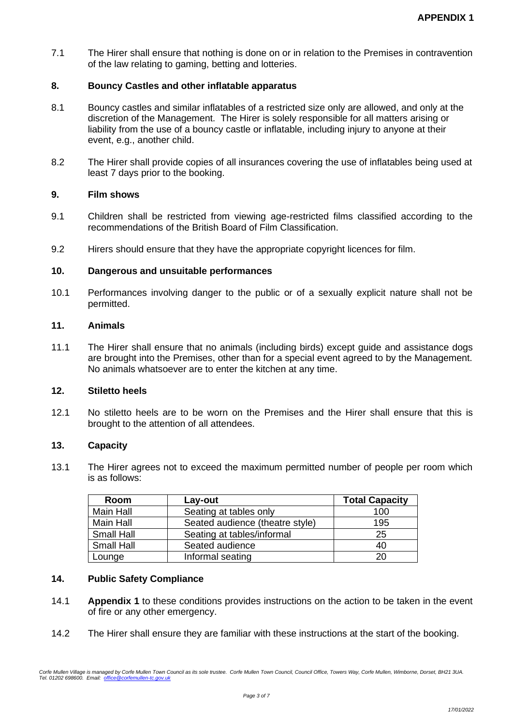7.1 The Hirer shall ensure that nothing is done on or in relation to the Premises in contravention of the law relating to gaming, betting and lotteries.

# **8. Bouncy Castles and other inflatable apparatus**

- 8.1 Bouncy castles and similar inflatables of a restricted size only are allowed, and only at the discretion of the Management. The Hirer is solely responsible for all matters arising or liability from the use of a bouncy castle or inflatable, including injury to anyone at their event, e.g., another child.
- 8.2 The Hirer shall provide copies of all insurances covering the use of inflatables being used at least 7 days prior to the booking.

## **9. Film shows**

- 9.1 Children shall be restricted from viewing age-restricted films classified according to the recommendations of the British Board of Film Classification.
- 9.2 Hirers should ensure that they have the appropriate copyright licences for film.

### **10. Dangerous and unsuitable performances**

10.1 Performances involving danger to the public or of a sexually explicit nature shall not be permitted.

## **11. Animals**

11.1 The Hirer shall ensure that no animals (including birds) except guide and assistance dogs are brought into the Premises, other than for a special event agreed to by the Management. No animals whatsoever are to enter the kitchen at any time.

# **12. Stiletto heels**

12.1 No stiletto heels are to be worn on the Premises and the Hirer shall ensure that this is brought to the attention of all attendees.

### **13. Capacity**

13.1 The Hirer agrees not to exceed the maximum permitted number of people per room which is as follows:

| Room              | Lay-out                         | <b>Total Capacity</b> |
|-------------------|---------------------------------|-----------------------|
| <b>Main Hall</b>  | Seating at tables only          | 100                   |
| <b>Main Hall</b>  | Seated audience (theatre style) | 195                   |
| <b>Small Hall</b> | Seating at tables/informal      | 25                    |
| <b>Small Hall</b> | Seated audience                 | 40                    |
| Lounge            | Informal seating                | 20                    |

## **14. Public Safety Compliance**

- 14.1 **Appendix 1** to these conditions provides instructions on the action to be taken in the event of fire or any other emergency.
- 14.2 The Hirer shall ensure they are familiar with these instructions at the start of the booking.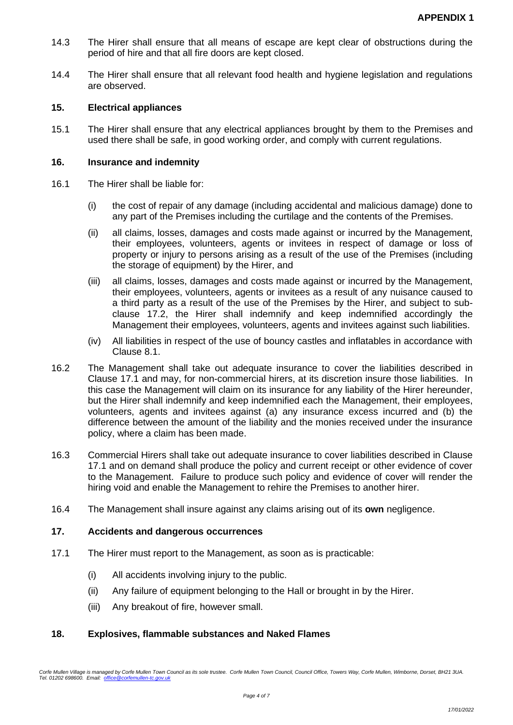- 14.3 The Hirer shall ensure that all means of escape are kept clear of obstructions during the period of hire and that all fire doors are kept closed.
- 14.4 The Hirer shall ensure that all relevant food health and hygiene legislation and regulations are observed.

### **15. Electrical appliances**

15.1 The Hirer shall ensure that any electrical appliances brought by them to the Premises and used there shall be safe, in good working order, and comply with current regulations.

## **16. Insurance and indemnity**

- 16.1 The Hirer shall be liable for:
	- (i) the cost of repair of any damage (including accidental and malicious damage) done to any part of the Premises including the curtilage and the contents of the Premises.
	- (ii) all claims, losses, damages and costs made against or incurred by the Management, their employees, volunteers, agents or invitees in respect of damage or loss of property or injury to persons arising as a result of the use of the Premises (including the storage of equipment) by the Hirer, and
	- (iii) all claims, losses, damages and costs made against or incurred by the Management, their employees, volunteers, agents or invitees as a result of any nuisance caused to a third party as a result of the use of the Premises by the Hirer, and subject to subclause 17.2, the Hirer shall indemnify and keep indemnified accordingly the Management their employees, volunteers, agents and invitees against such liabilities.
	- (iv) All liabilities in respect of the use of bouncy castles and inflatables in accordance with Clause 8.1.
- 16.2 The Management shall take out adequate insurance to cover the liabilities described in Clause 17.1 and may, for non-commercial hirers, at its discretion insure those liabilities. In this case the Management will claim on its insurance for any liability of the Hirer hereunder, but the Hirer shall indemnify and keep indemnified each the Management, their employees, volunteers, agents and invitees against (a) any insurance excess incurred and (b) the difference between the amount of the liability and the monies received under the insurance policy, where a claim has been made.
- 16.3 Commercial Hirers shall take out adequate insurance to cover liabilities described in Clause 17.1 and on demand shall produce the policy and current receipt or other evidence of cover to the Management. Failure to produce such policy and evidence of cover will render the hiring void and enable the Management to rehire the Premises to another hirer.
- 16.4 The Management shall insure against any claims arising out of its **own** negligence.

### **17. Accidents and dangerous occurrences**

- 17.1 The Hirer must report to the Management, as soon as is practicable:
	- (i) All accidents involving injury to the public.
	- (ii) Any failure of equipment belonging to the Hall or brought in by the Hirer.
	- (iii) Any breakout of fire, however small.

### **18. Explosives, flammable substances and Naked Flames**

*Corfe Mullen Village is managed by Corfe Mullen Town Council as its sole trustee. Corfe Mullen Town Council, Council Office, Towers Way, Corfe Mullen, Wimborne, Dorset, BH21 3UA. Tel. 01202 698600. Email: [office@corfemullen-tc.gov.uk](mailto:office@corfemullen-pc.gov.uk)*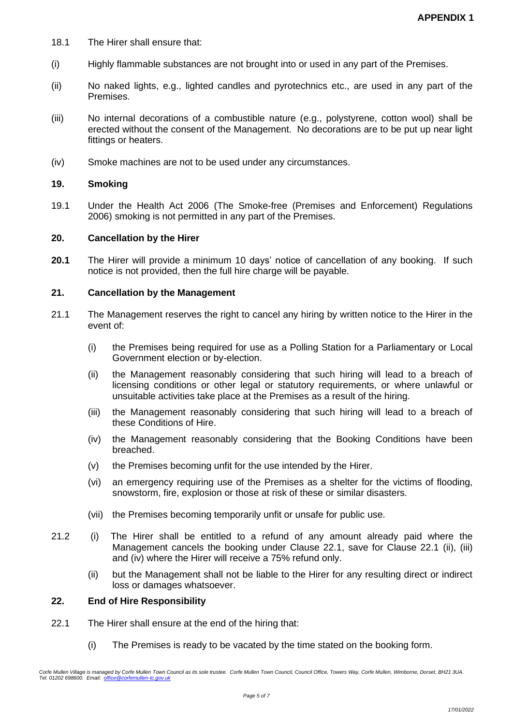- 18.1 The Hirer shall ensure that:
- (i) Highly flammable substances are not brought into or used in any part of the Premises.
- (ii) No naked lights, e.g., lighted candles and pyrotechnics etc., are used in any part of the Premises.
- (iii) No internal decorations of a combustible nature (e.g., polystyrene, cotton wool) shall be erected without the consent of the Management. No decorations are to be put up near light fittings or heaters.
- (iv) Smoke machines are not to be used under any circumstances.

#### **19. Smoking**

19.1 Under the Health Act 2006 (The Smoke-free (Premises and Enforcement) Regulations 2006) smoking is not permitted in any part of the Premises.

#### **20. Cancellation by the Hirer**

**20.1** The Hirer will provide a minimum 10 days' notice of cancellation of any booking. If such notice is not provided, then the full hire charge will be payable.

#### **21. Cancellation by the Management**

- 21.1 The Management reserves the right to cancel any hiring by written notice to the Hirer in the event of:
	- (i) the Premises being required for use as a Polling Station for a Parliamentary or Local Government election or by-election.
	- (ii) the Management reasonably considering that such hiring will lead to a breach of licensing conditions or other legal or statutory requirements, or where unlawful or unsuitable activities take place at the Premises as a result of the hiring.
	- (iii) the Management reasonably considering that such hiring will lead to a breach of these Conditions of Hire.
	- (iv) the Management reasonably considering that the Booking Conditions have been breached.
	- (v) the Premises becoming unfit for the use intended by the Hirer.
	- (vi) an emergency requiring use of the Premises as a shelter for the victims of flooding, snowstorm, fire, explosion or those at risk of these or similar disasters.
	- (vii) the Premises becoming temporarily unfit or unsafe for public use.
- 21.2 (i) The Hirer shall be entitled to a refund of any amount already paid where the Management cancels the booking under Clause 22.1, save for Clause 22.1 (ii), (iii) and (iv) where the Hirer will receive a 75% refund only.
	- (ii) but the Management shall not be liable to the Hirer for any resulting direct or indirect loss or damages whatsoever.

### **22. End of Hire Responsibility**

- 22.1 The Hirer shall ensure at the end of the hiring that:
	- (i) The Premises is ready to be vacated by the time stated on the booking form.

*Corfe Mullen Village is managed by Corfe Mullen Town Council as its sole trustee. Corfe Mullen Town Council, Council Office, Towers Way, Corfe Mullen, Wimborne, Dorset, BH21 3UA. Tel. 01202 698600. Email: [office@corfemullen-tc.gov.uk](mailto:office@corfemullen-pc.gov.uk)*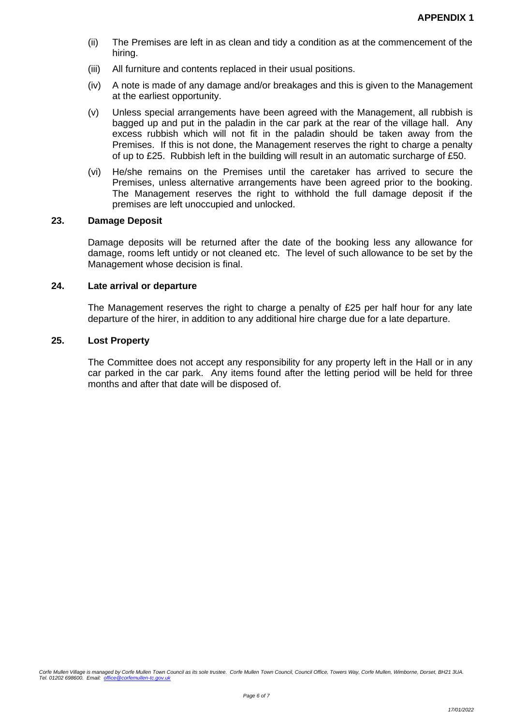- (ii) The Premises are left in as clean and tidy a condition as at the commencement of the hiring.
- (iii) All furniture and contents replaced in their usual positions.
- (iv) A note is made of any damage and/or breakages and this is given to the Management at the earliest opportunity.
- (v) Unless special arrangements have been agreed with the Management, all rubbish is bagged up and put in the paladin in the car park at the rear of the village hall. Any excess rubbish which will not fit in the paladin should be taken away from the Premises. If this is not done, the Management reserves the right to charge a penalty of up to £25. Rubbish left in the building will result in an automatic surcharge of £50.
- (vi) He/she remains on the Premises until the caretaker has arrived to secure the Premises, unless alternative arrangements have been agreed prior to the booking. The Management reserves the right to withhold the full damage deposit if the premises are left unoccupied and unlocked.

#### **23. Damage Deposit**

Damage deposits will be returned after the date of the booking less any allowance for damage, rooms left untidy or not cleaned etc. The level of such allowance to be set by the Management whose decision is final.

#### **24. Late arrival or departure**

The Management reserves the right to charge a penalty of £25 per half hour for any late departure of the hirer, in addition to any additional hire charge due for a late departure.

#### **25. Lost Property**

The Committee does not accept any responsibility for any property left in the Hall or in any car parked in the car park. Any items found after the letting period will be held for three months and after that date will be disposed of.

*Corfe Mullen Village is managed by Corfe Mullen Town Council as its sole trustee. Corfe Mullen Town Council, Council Office, Towers Way, Corfe Mullen, Wimborne, Dorset, BH21 3UA. Tel. 01202 698600. Email: [office@corfemullen-tc.gov.uk](mailto:office@corfemullen-pc.gov.uk)*